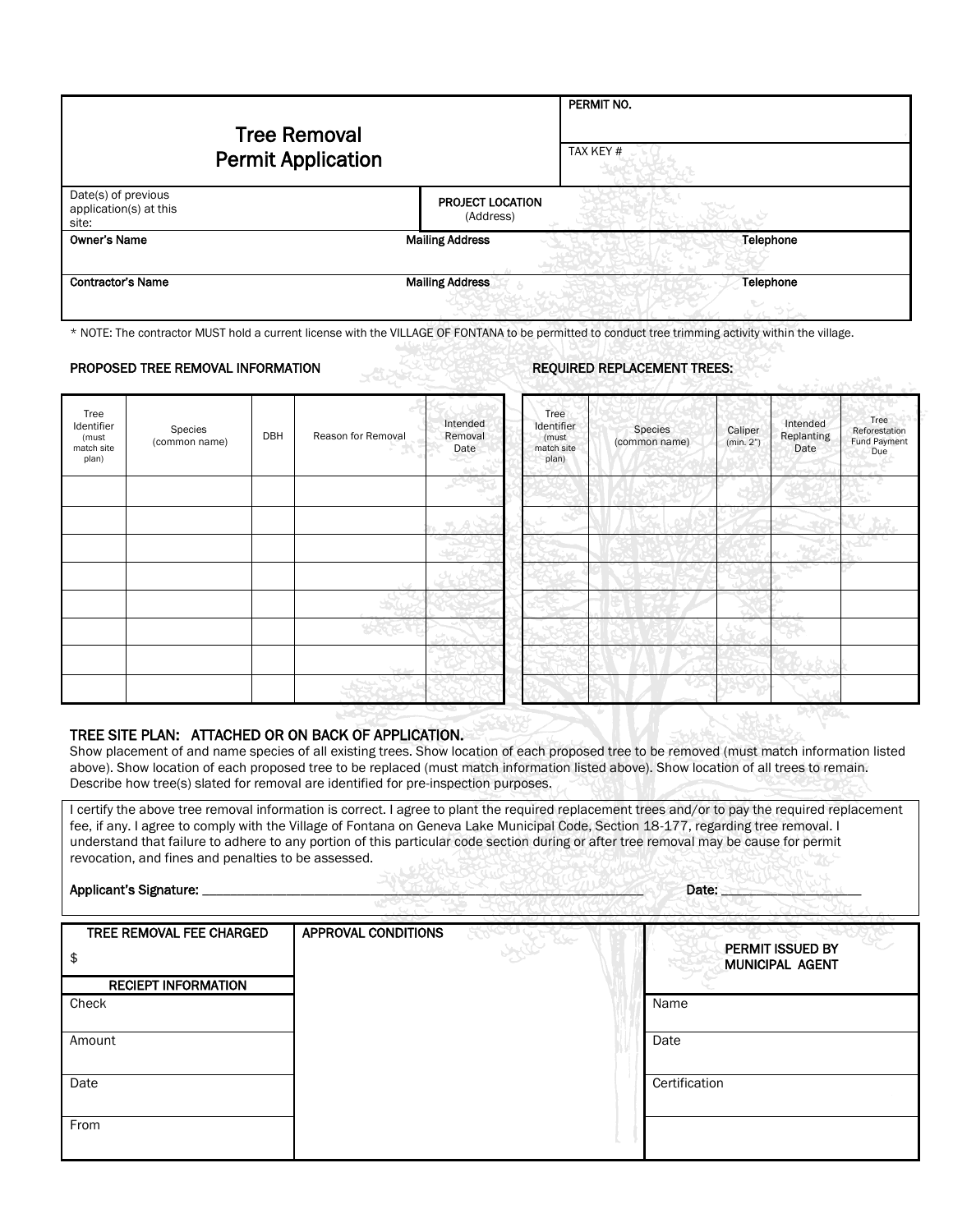|                                                        | <b>Tree Removal</b><br><b>Permit Application</b> |                                      | PERMIT NO.<br>TAX KEY # |
|--------------------------------------------------------|--------------------------------------------------|--------------------------------------|-------------------------|
| Date(s) of previous<br>application(s) at this<br>site: |                                                  | <b>PROJECT LOCATION</b><br>(Address) |                         |
| Owner's Name                                           |                                                  | <b>Mailing Address</b>               | Telephone               |
| <b>Contractor's Name</b>                               |                                                  | <b>Mailing Address</b>               | Telephone               |

\* NOTE: The contractor MUST hold a current license with the VILLAGE OF FONTANA to be permitted to conduct tree trimming activity within the village.

## PROPOSED TREE REMOVAL INFORMATION REQUIRED REPLACEMENT TREES:

|                                                    |                          |     | SAN SAN            |                             |                                                    |                          |                                                        | <b>With War Street</b>                       |
|----------------------------------------------------|--------------------------|-----|--------------------|-----------------------------|----------------------------------------------------|--------------------------|--------------------------------------------------------|----------------------------------------------|
| Tree<br>Identifier<br>(must<br>match site<br>plan) | Species<br>(common name) | DBH | Reason for Removal | Intended<br>Removal<br>Date | Tree<br>Identifier<br>(must<br>match site<br>plan) | Species<br>(common name) | Intended<br>Caliper<br>Replanting<br>(min. 2")<br>Date | Tree<br>Reforestation<br>Fund Payment<br>Due |
|                                                    |                          |     |                    |                             |                                                    |                          |                                                        |                                              |
|                                                    |                          |     |                    |                             | ېي                                                 |                          | س                                                      |                                              |
|                                                    |                          |     |                    |                             |                                                    |                          |                                                        |                                              |
|                                                    |                          |     |                    |                             |                                                    |                          |                                                        |                                              |
|                                                    |                          |     |                    |                             |                                                    |                          |                                                        |                                              |
|                                                    |                          |     |                    |                             |                                                    |                          | w                                                      |                                              |
|                                                    |                          |     | $-2.1$             |                             |                                                    |                          |                                                        |                                              |
|                                                    |                          |     |                    |                             |                                                    |                          |                                                        |                                              |

### TREE SITE PLAN: ATTACHED OR ON BACK OF APPLICATION.

Show placement of and name species of all existing trees. Show location of each proposed tree to be removed (must match information listed above). Show location of each proposed tree to be replaced (must match information listed above). Show location of all trees to remain. Describe how tree(s) slated for removal are identified for pre-inspection purposes.

I certify the above tree removal information is correct. I agree to plant the required replacement trees and/or to pay the required replacement fee, if any. I agree to comply with the Village of Fontana on Geneva Lake Municipal Code, Section 18-177, regarding tree removal. I understand that failure to adhere to any portion of this particular code section during or after tree removal may be cause for permit revocation, and fines and penalties to be assessed.

#### Applicant's Signature: \_\_\_\_\_\_\_\_\_\_\_\_\_\_\_\_\_\_\_\_\_\_\_\_\_\_\_\_\_\_\_\_\_\_\_\_\_\_\_\_\_\_\_\_\_\_\_\_\_\_\_\_\_\_\_\_\_\_\_\_\_\_\_ Date: \_\_\_\_\_\_\_\_\_\_\_\_\_\_\_\_\_\_\_\_

| APPROVAL CONDITIONS |                                     |
|---------------------|-------------------------------------|
|                     | PERMIT ISSUED BY<br>MUNICIPAL AGENT |
|                     |                                     |
|                     | Name                                |
|                     | Date                                |
|                     | Certification                       |
|                     |                                     |
|                     |                                     |